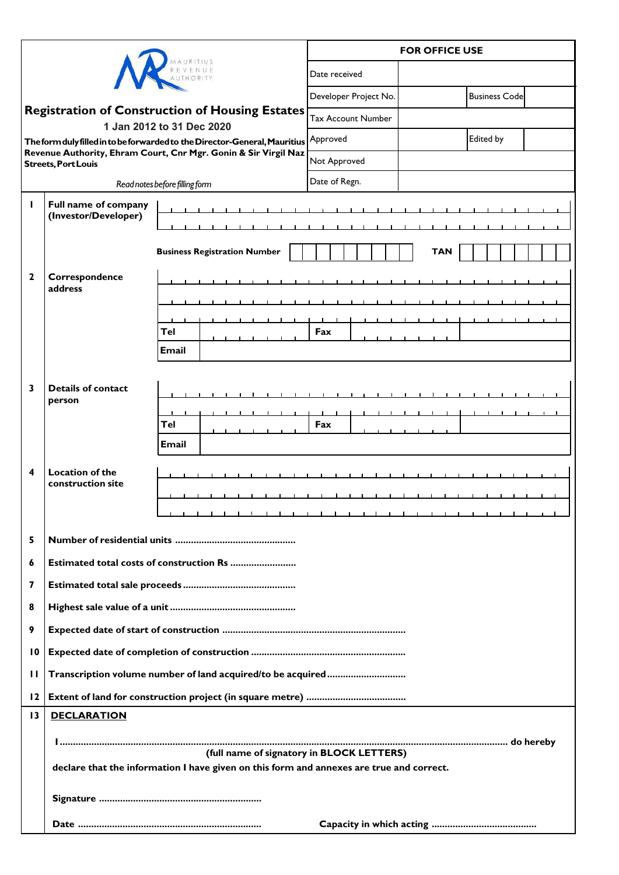|                                                                                                                                                                                                                            |                                                                                                                                       |                                     | <b>FOR OFFICE USE</b>     |            |                       |  |
|----------------------------------------------------------------------------------------------------------------------------------------------------------------------------------------------------------------------------|---------------------------------------------------------------------------------------------------------------------------------------|-------------------------------------|---------------------------|------------|-----------------------|--|
|                                                                                                                                                                                                                            |                                                                                                                                       |                                     | Date received             |            |                       |  |
|                                                                                                                                                                                                                            |                                                                                                                                       |                                     | Developer Project No.     |            | <b>Business Codel</b> |  |
| <b>Registration of Construction of Housing Estates</b>                                                                                                                                                                     |                                                                                                                                       |                                     | <b>Tax Account Number</b> |            |                       |  |
| 1 Jan 2012 to 31 Dec 2020<br>The form duly filled in to be forwarded to the Director-General, Mauritius $\rvert$ Approved<br>Revenue Authority, Ehram Court, Cnr Mgr. Gonin & Sir Virgil Naz<br><b>Streets, Port Louis</b> |                                                                                                                                       |                                     |                           |            | Edited by             |  |
|                                                                                                                                                                                                                            |                                                                                                                                       |                                     | Not Approved              |            |                       |  |
| Read notes before filling form                                                                                                                                                                                             |                                                                                                                                       |                                     | Date of Regn.             |            |                       |  |
| п                                                                                                                                                                                                                          | Full name of company<br>(Investor/Developer)                                                                                          |                                     |                           |            |                       |  |
|                                                                                                                                                                                                                            |                                                                                                                                       |                                     |                           |            |                       |  |
|                                                                                                                                                                                                                            |                                                                                                                                       | <b>Business Registration Number</b> |                           | <b>TAN</b> |                       |  |
| $\mathbf{2}$                                                                                                                                                                                                               | Correspondence<br>address                                                                                                             |                                     |                           |            |                       |  |
|                                                                                                                                                                                                                            |                                                                                                                                       |                                     |                           |            |                       |  |
|                                                                                                                                                                                                                            |                                                                                                                                       |                                     |                           |            |                       |  |
|                                                                                                                                                                                                                            |                                                                                                                                       | Tel                                 | Fax                       |            |                       |  |
|                                                                                                                                                                                                                            |                                                                                                                                       | <b>Email</b>                        |                           |            |                       |  |
|                                                                                                                                                                                                                            |                                                                                                                                       |                                     |                           |            |                       |  |
| 3                                                                                                                                                                                                                          | <b>Details of contact</b><br>person                                                                                                   |                                     |                           |            |                       |  |
|                                                                                                                                                                                                                            |                                                                                                                                       |                                     |                           |            |                       |  |
|                                                                                                                                                                                                                            |                                                                                                                                       | Tel                                 | Fax                       |            |                       |  |
|                                                                                                                                                                                                                            |                                                                                                                                       | Email                               |                           |            |                       |  |
| 4                                                                                                                                                                                                                          | <b>Location of the</b><br>construction site                                                                                           |                                     |                           |            |                       |  |
|                                                                                                                                                                                                                            |                                                                                                                                       |                                     |                           |            |                       |  |
|                                                                                                                                                                                                                            |                                                                                                                                       |                                     |                           |            |                       |  |
| 5                                                                                                                                                                                                                          |                                                                                                                                       |                                     |                           |            |                       |  |
| 6                                                                                                                                                                                                                          | Estimated total costs of construction Rs                                                                                              |                                     |                           |            |                       |  |
| 7                                                                                                                                                                                                                          |                                                                                                                                       |                                     |                           |            |                       |  |
| 8                                                                                                                                                                                                                          |                                                                                                                                       |                                     |                           |            |                       |  |
| 9                                                                                                                                                                                                                          |                                                                                                                                       |                                     |                           |            |                       |  |
| $\overline{10}$                                                                                                                                                                                                            |                                                                                                                                       |                                     |                           |            |                       |  |
| п                                                                                                                                                                                                                          | Transcription volume number of land acquired/to be acquired                                                                           |                                     |                           |            |                       |  |
| 12                                                                                                                                                                                                                         |                                                                                                                                       |                                     |                           |            |                       |  |
| 13                                                                                                                                                                                                                         | <b>DECLARATION</b>                                                                                                                    |                                     |                           |            |                       |  |
|                                                                                                                                                                                                                            |                                                                                                                                       |                                     |                           |            |                       |  |
|                                                                                                                                                                                                                            | (full name of signatory in BLOCK LETTERS)<br>declare that the information I have given on this form and annexes are true and correct. |                                     |                           |            |                       |  |
|                                                                                                                                                                                                                            |                                                                                                                                       |                                     |                           |            |                       |  |
|                                                                                                                                                                                                                            |                                                                                                                                       |                                     |                           |            |                       |  |
|                                                                                                                                                                                                                            |                                                                                                                                       |                                     |                           |            |                       |  |